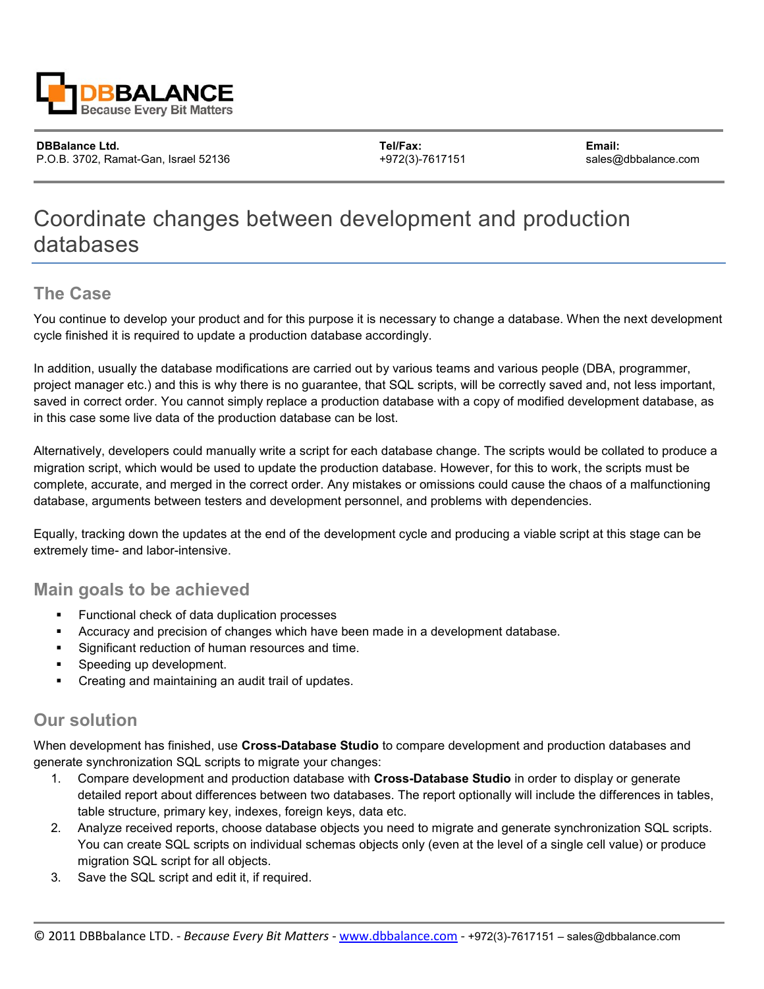

**DBBalance Ltd.** P.O.B. 3702, Ramat-Gan, Israel 52136

**Tel/Fax:** +972(3)-7617151 **Email:** sales@dbbalance.com

# Coordinate changes between development and production databases

## **The Case**

You continue to develop your product and for this purpose it is necessary to change a database. When the next development cycle finished it is required to update a production database accordingly.

In addition, usually the database modifications are carried out by various teams and various people (DBA, programmer, project manager etc.) and this is why there is no guarantee, that SQL scripts, will be correctly saved and, not less important, saved in correct order. You cannot simply replace a production database with a copy of modified development database, as in this case some live data of the production database can be lost.

Alternatively, developers could manually write a script for each database change. The scripts would be collated to produce a migration script, which would be used to update the production database. However, for this to work, the scripts must be complete, accurate, and merged in the correct order. Any mistakes or omissions could cause the chaos of a malfunctioning database, arguments between testers and development personnel, and problems with dependencies.

Equally, tracking down the updates at the end of the development cycle and producing a viable script at this stage can be extremely time- and labor-intensive.

#### **Main goals to be achieved**

- **Functional check of data duplication processes**
- Accuracy and precision of changes which have been made in a development database.
- **Significant reduction of human resources and time.**
- **Speeding up development.**
- **•** Creating and maintaining an audit trail of updates.

## **Our solution**

When development has finished, use **Cross-Database Studio** to compare development and production databases and generate synchronization SQL scripts to migrate your changes:

- 1. Compare development and production database with **Cross-Database Studio** in order to display or generate detailed report about differences between two databases. The report optionally will include the differences in tables, table structure, primary key, indexes, foreign keys, data etc.
- 2. Analyze received reports, choose database objects you need to migrate and generate synchronization SQL scripts. You can create SQL scripts on individual schemas objects only (even at the level of a single cell value) or produce migration SQL script for all objects.
- 3. Save the SQL script and edit it, if required.